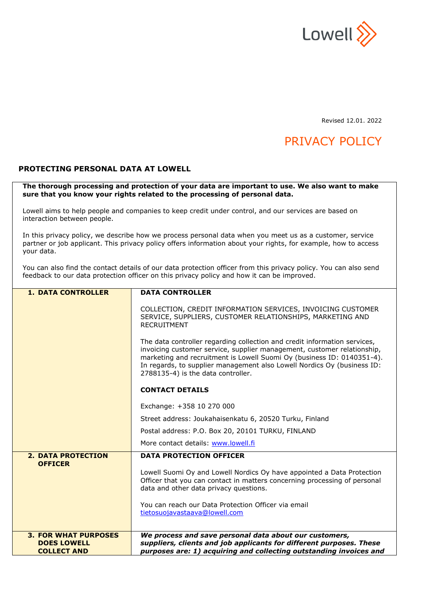

Revised 12.01. 2022

# PRIVACY POLICY

## **PROTECTING PERSONAL DATA AT LOWELL**

**The thorough processing and protection of your data are important to use. We also want to make sure that you know your rights related to the processing of personal data.** 

Lowell aims to help people and companies to keep credit under control, and our services are based on interaction between people.

In this privacy policy, we describe how we process personal data when you meet us as a customer, service partner or job applicant. This privacy policy offers information about your rights, for example, how to access your data.

You can also find the contact details of our data protection officer from this privacy policy. You can also send feedback to our data protection officer on this privacy policy and how it can be improved.

| <b>1. DATA CONTROLLER</b>                                               | <b>DATA CONTROLLER</b>                                                                                                                                                                                                                                                                                                                          |
|-------------------------------------------------------------------------|-------------------------------------------------------------------------------------------------------------------------------------------------------------------------------------------------------------------------------------------------------------------------------------------------------------------------------------------------|
|                                                                         | COLLECTION, CREDIT INFORMATION SERVICES, INVOICING CUSTOMER<br>SERVICE, SUPPLIERS, CUSTOMER RELATIONSHIPS, MARKETING AND<br><b>RECRUITMENT</b>                                                                                                                                                                                                  |
|                                                                         | The data controller regarding collection and credit information services,<br>invoicing customer service, supplier management, customer relationship,<br>marketing and recruitment is Lowell Suomi Oy (business ID: 0140351-4).<br>In regards, to supplier management also Lowell Nordics Oy (business ID:<br>2788135-4) is the data controller. |
|                                                                         | <b>CONTACT DETAILS</b>                                                                                                                                                                                                                                                                                                                          |
|                                                                         | Exchange: +358 10 270 000                                                                                                                                                                                                                                                                                                                       |
|                                                                         | Street address: Joukahaisenkatu 6, 20520 Turku, Finland                                                                                                                                                                                                                                                                                         |
|                                                                         | Postal address: P.O. Box 20, 20101 TURKU, FINLAND                                                                                                                                                                                                                                                                                               |
|                                                                         | More contact details: www.lowell.fi                                                                                                                                                                                                                                                                                                             |
| <b>2. DATA PROTECTION</b>                                               | <b>DATA PROTECTION OFFICER</b>                                                                                                                                                                                                                                                                                                                  |
| <b>OFFICER</b>                                                          | Lowell Suomi Oy and Lowell Nordics Oy have appointed a Data Protection<br>Officer that you can contact in matters concerning processing of personal<br>data and other data privacy questions.                                                                                                                                                   |
|                                                                         | You can reach our Data Protection Officer via email<br>tietosuojavastaava@lowell.com                                                                                                                                                                                                                                                            |
| <b>3. FOR WHAT PURPOSES</b><br><b>DOES LOWELL</b><br><b>COLLECT AND</b> | We process and save personal data about our customers,<br>suppliers, clients and job applicants for different purposes. These<br>purposes are: 1) acquiring and collecting outstanding invoices and                                                                                                                                             |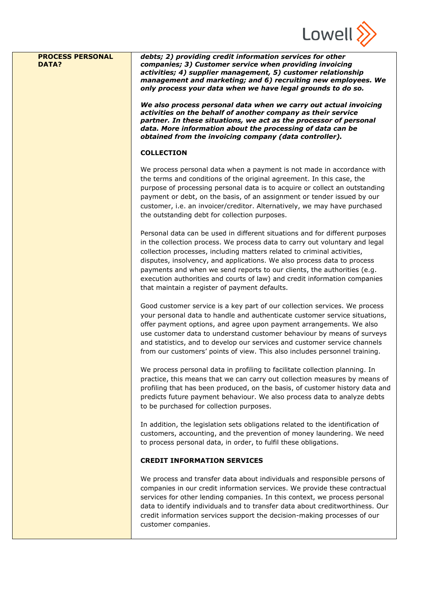

| <b>PROCESS PERSONAL</b><br><b>DATA?</b> | debts; 2) providing credit information services for other<br>companies; 3) Customer service when providing invoicing<br>activities; 4) supplier management, 5) customer relationship<br>management and marketing; and 6) recruiting new employees. We<br>only process your data when we have legal grounds to do so.                                                                                                                                                                                                       |
|-----------------------------------------|----------------------------------------------------------------------------------------------------------------------------------------------------------------------------------------------------------------------------------------------------------------------------------------------------------------------------------------------------------------------------------------------------------------------------------------------------------------------------------------------------------------------------|
|                                         | We also process personal data when we carry out actual invoicing<br>activities on the behalf of another company as their service<br>partner. In these situations, we act as the processor of personal<br>data. More information about the processing of data can be<br>obtained from the invoicing company (data controller).                                                                                                                                                                                              |
|                                         | <b>COLLECTION</b>                                                                                                                                                                                                                                                                                                                                                                                                                                                                                                          |
|                                         | We process personal data when a payment is not made in accordance with<br>the terms and conditions of the original agreement. In this case, the<br>purpose of processing personal data is to acquire or collect an outstanding<br>payment or debt, on the basis, of an assignment or tender issued by our<br>customer, i.e. an invoicer/creditor. Alternatively, we may have purchased<br>the outstanding debt for collection purposes.                                                                                    |
|                                         | Personal data can be used in different situations and for different purposes<br>in the collection process. We process data to carry out voluntary and legal<br>collection processes, including matters related to criminal activities,<br>disputes, insolvency, and applications. We also process data to process<br>payments and when we send reports to our clients, the authorities (e.g.<br>execution authorities and courts of law) and credit information companies<br>that maintain a register of payment defaults. |
|                                         | Good customer service is a key part of our collection services. We process<br>your personal data to handle and authenticate customer service situations,<br>offer payment options, and agree upon payment arrangements. We also<br>use customer data to understand customer behaviour by means of surveys<br>and statistics, and to develop our services and customer service channels<br>from our customers' points of view. This also includes personnel training.                                                       |
|                                         | We process personal data in profiling to facilitate collection planning. In<br>practice, this means that we can carry out collection measures by means of<br>profiling that has been produced, on the basis, of customer history data and<br>predicts future payment behaviour. We also process data to analyze debts<br>to be purchased for collection purposes.                                                                                                                                                          |
|                                         | In addition, the legislation sets obligations related to the identification of<br>customers, accounting, and the prevention of money laundering. We need<br>to process personal data, in order, to fulfil these obligations.                                                                                                                                                                                                                                                                                               |
|                                         | <b>CREDIT INFORMATION SERVICES</b>                                                                                                                                                                                                                                                                                                                                                                                                                                                                                         |
|                                         | We process and transfer data about individuals and responsible persons of<br>companies in our credit information services. We provide these contractual<br>services for other lending companies. In this context, we process personal<br>data to identify individuals and to transfer data about creditworthiness. Our<br>credit information services support the decision-making processes of our<br>customer companies.                                                                                                  |
|                                         |                                                                                                                                                                                                                                                                                                                                                                                                                                                                                                                            |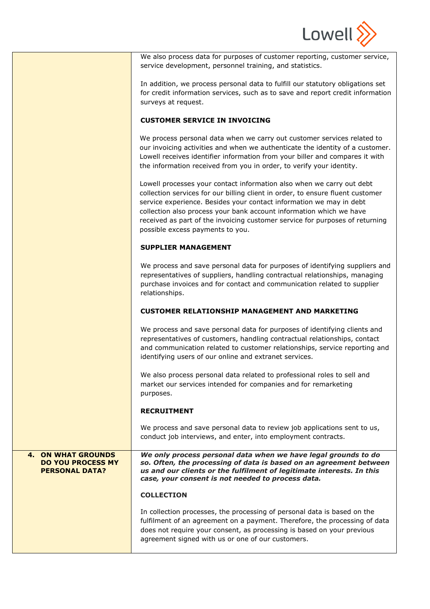

| We also process data for purposes of customer reporting, customer service, |
|----------------------------------------------------------------------------|
| service development, personnel training, and statistics.                   |

In addition, we process personal data to fulfill our statutory obligations set for credit information services, such as to save and report credit information surveys at request.

## **CUSTOMER SERVICE IN INVOICING**

We process personal data when we carry out customer services related to our invoicing activities and when we authenticate the identity of a customer. Lowell receives identifier information from your biller and compares it with the information received from you in order, to verify your identity.

Lowell processes your contact information also when we carry out debt collection services for our billing client in order, to ensure fluent customer service experience. Besides your contact information we may in debt collection also process your bank account information which we have received as part of the invoicing customer service for purposes of returning possible excess payments to you.

## **SUPPLIER MANAGEMENT**

We process and save personal data for purposes of identifying suppliers and representatives of suppliers, handling contractual relationships, managing purchase invoices and for contact and communication related to supplier relationships.

# **CUSTOMER RELATIONSHIP MANAGEMENT AND MARKETING**

We process and save personal data for purposes of identifying clients and representatives of customers, handling contractual relationships, contact and communication related to customer relationships, service reporting and identifying users of our online and extranet services.

We also process personal data related to professional roles to sell and market our services intended for companies and for remarketing purposes.

## **RECRUITMENT**

We process and save personal data to review job applications sent to us, conduct job interviews, and enter, into employment contracts.

# **4. ON WHAT GROUNDS DO YOU PROCESS MY PERSONAL DATA?**

*We only process personal data when we have legal grounds to do so. Often, the processing of data is based on an agreement between us and our clients or the fulfilment of legitimate interests. In this case, your consent is not needed to process data.*

## **COLLECTION**

In collection processes, the processing of personal data is based on the fulfilment of an agreement on a payment. Therefore, the processing of data does not require your consent, as processing is based on your previous agreement signed with us or one of our customers.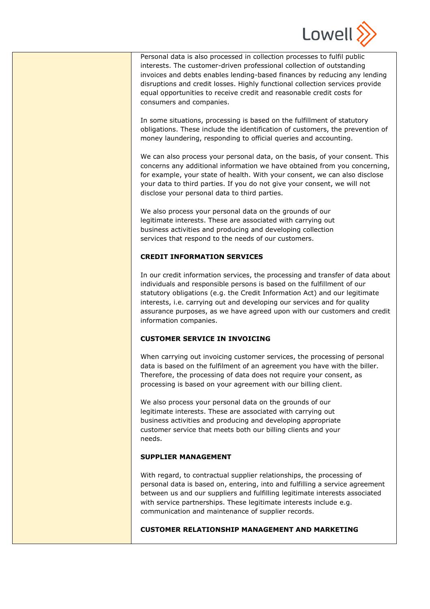

Personal data is also processed in collection processes to fulfil public interests. The customer-driven professional collection of outstanding invoices and debts enables lending-based finances by reducing any lending disruptions and credit losses. Highly functional collection services provide equal opportunities to receive credit and reasonable credit costs for consumers and companies.

In some situations, processing is based on the fulfillment of statutory obligations. These include the identification of customers, the prevention of money laundering, responding to official queries and accounting.

We can also process your personal data, on the basis, of your consent. This concerns any additional information we have obtained from you concerning, for example, your state of health. With your consent, we can also disclose your data to third parties. If you do not give your consent, we will not disclose your personal data to third parties.

We also process your personal data on the grounds of our legitimate interests. These are associated with carrying out business activities and producing and developing collection services that respond to the needs of our customers.

## **CREDIT INFORMATION SERVICES**

In our credit information services, the processing and transfer of data about individuals and responsible persons is based on the fulfillment of our statutory obligations (e.g. the Credit Information Act) and our legitimate interests, i.e. carrying out and developing our services and for quality assurance purposes, as we have agreed upon with our customers and credit information companies.

## **CUSTOMER SERVICE IN INVOICING**

When carrying out invoicing customer services, the processing of personal data is based on the fulfilment of an agreement you have with the biller. Therefore, the processing of data does not require your consent, as processing is based on your agreement with our billing client.

We also process your personal data on the grounds of our legitimate interests. These are associated with carrying out business activities and producing and developing appropriate customer service that meets both our billing clients and your needs.

## **SUPPLIER MANAGEMENT**

With regard, to contractual supplier relationships, the processing of personal data is based on, entering, into and fulfilling a service agreement between us and our suppliers and fulfilling legitimate interests associated with service partnerships. These legitimate interests include e.g. communication and maintenance of supplier records.

## **CUSTOMER RELATIONSHIP MANAGEMENT AND MARKETING**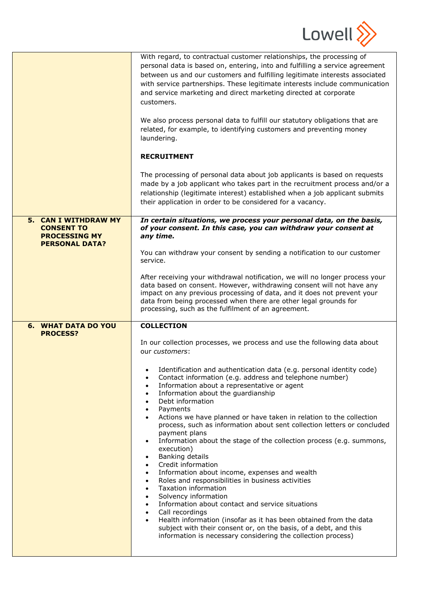

|                                                                                                   | With regard, to contractual customer relationships, the processing of<br>personal data is based on, entering, into and fulfilling a service agreement<br>between us and our customers and fulfilling legitimate interests associated<br>with service partnerships. These legitimate interests include communication<br>and service marketing and direct marketing directed at corporate<br>customers.<br>We also process personal data to fulfill our statutory obligations that are<br>related, for example, to identifying customers and preventing money<br>laundering.<br><b>RECRUITMENT</b><br>The processing of personal data about job applicants is based on requests<br>made by a job applicant who takes part in the recruitment process and/or a<br>relationship (legitimate interest) established when a job applicant submits<br>their application in order to be considered for a vacancy.                                                                                                                                                                                                                                                                                                                                                                                                                |
|---------------------------------------------------------------------------------------------------|-------------------------------------------------------------------------------------------------------------------------------------------------------------------------------------------------------------------------------------------------------------------------------------------------------------------------------------------------------------------------------------------------------------------------------------------------------------------------------------------------------------------------------------------------------------------------------------------------------------------------------------------------------------------------------------------------------------------------------------------------------------------------------------------------------------------------------------------------------------------------------------------------------------------------------------------------------------------------------------------------------------------------------------------------------------------------------------------------------------------------------------------------------------------------------------------------------------------------------------------------------------------------------------------------------------------------|
| <b>5. CAN I WITHDRAW MY</b><br><b>CONSENT TO</b><br><b>PROCESSING MY</b><br><b>PERSONAL DATA?</b> | In certain situations, we process your personal data, on the basis,<br>of your consent. In this case, you can withdraw your consent at<br>any time.<br>You can withdraw your consent by sending a notification to our customer<br>service.<br>After receiving your withdrawal notification, we will no longer process your<br>data based on consent. However, withdrawing consent will not have any<br>impact on any previous processing of data, and it does not prevent your<br>data from being processed when there are other legal grounds for<br>processing, such as the fulfilment of an agreement.                                                                                                                                                                                                                                                                                                                                                                                                                                                                                                                                                                                                                                                                                                               |
| <b>6. WHAT DATA DO YOU</b><br><b>PROCESS?</b>                                                     | <b>COLLECTION</b><br>In our collection processes, we process and use the following data about<br>our customers:<br>Identification and authentication data (e.g. personal identity code)<br>Contact information (e.g. address and telephone number)<br>٠<br>Information about a representative or agent<br>$\bullet$<br>Information about the quardianship<br>$\bullet$<br>Debt information<br>$\bullet$<br>Payments<br>$\bullet$<br>Actions we have planned or have taken in relation to the collection<br>$\bullet$<br>process, such as information about sent collection letters or concluded<br>payment plans<br>Information about the stage of the collection process (e.g. summons,<br>$\bullet$<br>execution)<br>Banking details<br>$\bullet$<br>Credit information<br>$\bullet$<br>Information about income, expenses and wealth<br>$\bullet$<br>Roles and responsibilities in business activities<br>$\bullet$<br>Taxation information<br>$\bullet$<br>Solvency information<br>$\bullet$<br>Information about contact and service situations<br>$\bullet$<br>Call recordings<br>$\bullet$<br>Health information (insofar as it has been obtained from the data<br>$\bullet$<br>subject with their consent or, on the basis, of a debt, and this<br>information is necessary considering the collection process) |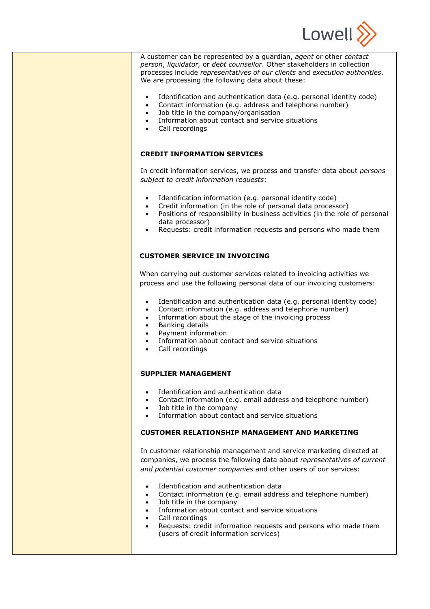

A customer can be represented by a guardian, *agent* or other *contact person*, *liquidator,* or *debt counsellor*. Other stakeholders in collection processes include *representatives of our clients* and *execution authorities*. We are processing the following data about these:

- Identification and authentication data (e.g. personal identity code)
- Contact information (e.g. address and telephone number)
- Job title in the company/organisation
- Information about contact and service situations
- Call recordings

## **CREDIT INFORMATION SERVICES**

In credit information services, we process and transfer data about *persons subject to credit information requests*:

- Identification information (e.g. personal identity code)
- Credit information (in the role of personal data processor)
- Positions of responsibility in business activities (in the role of personal data processor)
- Requests: credit information requests and persons who made them

## **CUSTOMER SERVICE IN INVOICING**

When carrying out customer services related to invoicing activities we process and use the following personal data of our invoicing customers:

- Identification and authentication data (e.g. personal identity code)
- Contact information (e.g. address and telephone number)
- Information about the stage of the invoicing process
- Banking details
- Payment information
- Information about contact and service situations
- Call recordings

## **SUPPLIER MANAGEMENT**

- Identification and authentication data
- Contact information (e.g. email address and telephone number)
- Job title in the company
- Information about contact and service situations

## **CUSTOMER RELATIONSHIP MANAGEMENT AND MARKETING**

In customer relationship management and service marketing directed at companies, we process the following data about *representatives of current and potential customer companies* and other users of our services:

- Identification and authentication data
- Contact information (e.g. email address and telephone number)
- Job title in the company
- Information about contact and service situations
- Call recordings
- Requests: credit information requests and persons who made them (users of credit information services)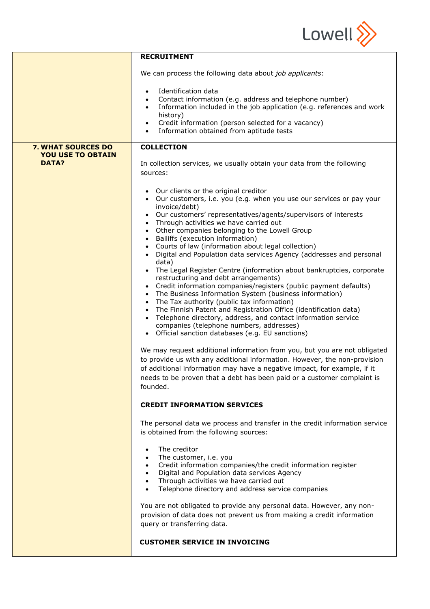

|                                          | <b>RECRUITMENT</b>                                                                                                                                                                                                                                                                                                                                                                                                                                                                                                                                                                                                                                                                                                                                                                                                                                                                                                                                                                                                                                                                                                                                                                                                                                                                                                                                                          |
|------------------------------------------|-----------------------------------------------------------------------------------------------------------------------------------------------------------------------------------------------------------------------------------------------------------------------------------------------------------------------------------------------------------------------------------------------------------------------------------------------------------------------------------------------------------------------------------------------------------------------------------------------------------------------------------------------------------------------------------------------------------------------------------------------------------------------------------------------------------------------------------------------------------------------------------------------------------------------------------------------------------------------------------------------------------------------------------------------------------------------------------------------------------------------------------------------------------------------------------------------------------------------------------------------------------------------------------------------------------------------------------------------------------------------------|
|                                          | We can process the following data about job applicants:                                                                                                                                                                                                                                                                                                                                                                                                                                                                                                                                                                                                                                                                                                                                                                                                                                                                                                                                                                                                                                                                                                                                                                                                                                                                                                                     |
|                                          | Identification data<br>$\bullet$<br>Contact information (e.g. address and telephone number)<br>$\bullet$<br>Information included in the job application (e.g. references and work<br>$\bullet$<br>history)<br>Credit information (person selected for a vacancy)<br>$\bullet$<br>Information obtained from aptitude tests                                                                                                                                                                                                                                                                                                                                                                                                                                                                                                                                                                                                                                                                                                                                                                                                                                                                                                                                                                                                                                                   |
| <b>7. WHAT SOURCES DO</b>                | <b>COLLECTION</b>                                                                                                                                                                                                                                                                                                                                                                                                                                                                                                                                                                                                                                                                                                                                                                                                                                                                                                                                                                                                                                                                                                                                                                                                                                                                                                                                                           |
| <b>YOU USE TO OBTAIN</b><br><b>DATA?</b> | In collection services, we usually obtain your data from the following<br>sources:                                                                                                                                                                                                                                                                                                                                                                                                                                                                                                                                                                                                                                                                                                                                                                                                                                                                                                                                                                                                                                                                                                                                                                                                                                                                                          |
|                                          | Our clients or the original creditor<br>• Our customers, i.e. you (e.g. when you use our services or pay your<br>invoice/debt)<br>Our customers' representatives/agents/supervisors of interests<br>$\bullet$<br>Through activities we have carried out<br>Other companies belonging to the Lowell Group<br>Bailiffs (execution information)<br>$\bullet$<br>Courts of law (information about legal collection)<br>$\bullet$<br>Digital and Population data services Agency (addresses and personal<br>data)<br>The Legal Register Centre (information about bankruptcies, corporate<br>restructuring and debt arrangements)<br>Credit information companies/registers (public payment defaults)<br>The Business Information System (business information)<br>The Tax authority (public tax information)<br>The Finnish Patent and Registration Office (identification data)<br>Telephone directory, address, and contact information service<br>companies (telephone numbers, addresses)<br>• Official sanction databases (e.g. EU sanctions)<br>We may request additional information from you, but you are not obligated<br>to provide us with any additional information. However, the non-provision<br>of additional information may have a negative impact, for example, if it<br>needs to be proven that a debt has been paid or a customer complaint is<br>founded. |
|                                          | <b>CREDIT INFORMATION SERVICES</b>                                                                                                                                                                                                                                                                                                                                                                                                                                                                                                                                                                                                                                                                                                                                                                                                                                                                                                                                                                                                                                                                                                                                                                                                                                                                                                                                          |
|                                          | The personal data we process and transfer in the credit information service<br>is obtained from the following sources:                                                                                                                                                                                                                                                                                                                                                                                                                                                                                                                                                                                                                                                                                                                                                                                                                                                                                                                                                                                                                                                                                                                                                                                                                                                      |
|                                          | The creditor<br>$\bullet$<br>The customer, i.e. you<br>Credit information companies/the credit information register<br>Digital and Population data services Agency<br>$\bullet$<br>Through activities we have carried out<br>$\bullet$<br>Telephone directory and address service companies<br>$\bullet$                                                                                                                                                                                                                                                                                                                                                                                                                                                                                                                                                                                                                                                                                                                                                                                                                                                                                                                                                                                                                                                                    |
|                                          | You are not obligated to provide any personal data. However, any non-<br>provision of data does not prevent us from making a credit information<br>query or transferring data.                                                                                                                                                                                                                                                                                                                                                                                                                                                                                                                                                                                                                                                                                                                                                                                                                                                                                                                                                                                                                                                                                                                                                                                              |
|                                          | <b>CUSTOMER SERVICE IN INVOICING</b>                                                                                                                                                                                                                                                                                                                                                                                                                                                                                                                                                                                                                                                                                                                                                                                                                                                                                                                                                                                                                                                                                                                                                                                                                                                                                                                                        |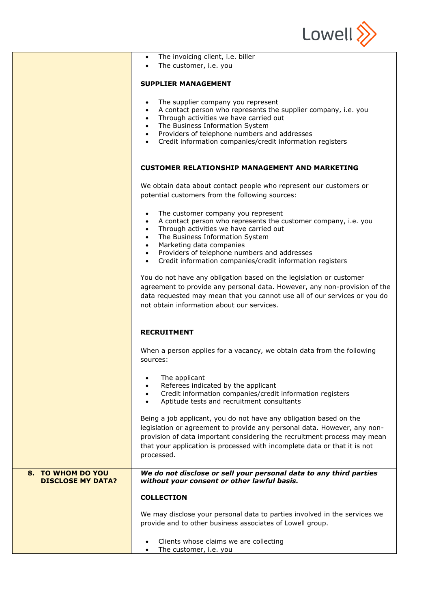

 $\overline{\phantom{a}}$ 

|                          | The invoicing client, i.e. biller<br>$\bullet$                                                                                      |
|--------------------------|-------------------------------------------------------------------------------------------------------------------------------------|
|                          | The customer, i.e. you                                                                                                              |
|                          |                                                                                                                                     |
|                          | <b>SUPPLIER MANAGEMENT</b>                                                                                                          |
|                          | The supplier company you represent<br>$\bullet$                                                                                     |
|                          | A contact person who represents the supplier company, i.e. you<br>$\bullet$                                                         |
|                          | Through activities we have carried out<br>$\bullet$                                                                                 |
|                          | The Business Information System<br>$\bullet$                                                                                        |
|                          | Providers of telephone numbers and addresses<br>$\bullet$<br>Credit information companies/credit information registers<br>$\bullet$ |
|                          |                                                                                                                                     |
|                          | <b>CUSTOMER RELATIONSHIP MANAGEMENT AND MARKETING</b>                                                                               |
|                          |                                                                                                                                     |
|                          | We obtain data about contact people who represent our customers or<br>potential customers from the following sources:               |
|                          |                                                                                                                                     |
|                          | The customer company you represent                                                                                                  |
|                          | A contact person who represents the customer company, i.e. you                                                                      |
|                          | Through activities we have carried out<br>$\bullet$<br>The Business Information System<br>$\bullet$                                 |
|                          | Marketing data companies<br>$\bullet$                                                                                               |
|                          | Providers of telephone numbers and addresses<br>$\bullet$                                                                           |
|                          | Credit information companies/credit information registers<br>$\bullet$                                                              |
|                          | You do not have any obligation based on the legislation or customer                                                                 |
|                          | agreement to provide any personal data. However, any non-provision of the                                                           |
|                          | data requested may mean that you cannot use all of our services or you do                                                           |
|                          | not obtain information about our services.                                                                                          |
|                          |                                                                                                                                     |
|                          | <b>RECRUITMENT</b>                                                                                                                  |
|                          |                                                                                                                                     |
|                          | When a person applies for a vacancy, we obtain data from the following                                                              |
|                          | sources:                                                                                                                            |
|                          | The applicant                                                                                                                       |
|                          | Referees indicated by the applicant                                                                                                 |
|                          | Credit information companies/credit information registers                                                                           |
|                          | Aptitude tests and recruitment consultants<br>$\bullet$                                                                             |
|                          | Being a job applicant, you do not have any obligation based on the                                                                  |
|                          | legislation or agreement to provide any personal data. However, any non-                                                            |
|                          | provision of data important considering the recruitment process may mean                                                            |
|                          | that your application is processed with incomplete data or that it is not                                                           |
|                          | processed.                                                                                                                          |
| 8. TO WHOM DO YOU        | We do not disclose or sell your personal data to any third parties                                                                  |
| <b>DISCLOSE MY DATA?</b> | without your consent or other lawful basis.                                                                                         |
|                          | <b>COLLECTION</b>                                                                                                                   |
|                          | We may disclose your personal data to parties involved in the services we                                                           |
|                          | provide and to other business associates of Lowell group.                                                                           |
|                          |                                                                                                                                     |
|                          | Clients whose claims we are collecting                                                                                              |

• The customer, i.e. you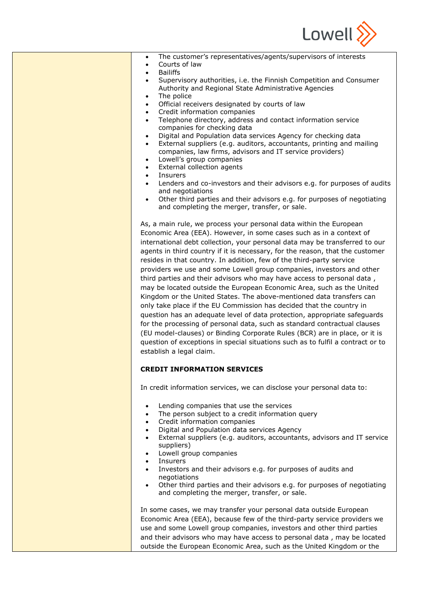

| The customer's representatives/agents/supervisors of interests<br>$\bullet$<br>Courts of law<br>$\bullet$<br><b>Bailiffs</b><br>$\bullet$<br>Supervisory authorities, i.e. the Finnish Competition and Consumer<br>٠<br>Authority and Regional State Administrative Agencies<br>The police<br>$\bullet$<br>Official receivers designated by courts of law<br>$\bullet$<br>Credit information companies<br>$\bullet$<br>Telephone directory, address and contact information service<br>$\bullet$<br>companies for checking data<br>Digital and Population data services Agency for checking data<br>$\bullet$<br>External suppliers (e.g. auditors, accountants, printing and mailing<br>$\bullet$<br>companies, law firms, advisors and IT service providers)<br>Lowell's group companies<br>$\bullet$<br>External collection agents<br>$\bullet$<br>Insurers<br>$\bullet$<br>Lenders and co-investors and their advisors e.g. for purposes of audits<br>$\bullet$<br>and negotiations<br>Other third parties and their advisors e.g. for purposes of negotiating<br>$\bullet$<br>and completing the merger, transfer, or sale.<br>As, a main rule, we process your personal data within the European<br>Economic Area (EEA). However, in some cases such as in a context of<br>international debt collection, your personal data may be transferred to our |
|--------------------------------------------------------------------------------------------------------------------------------------------------------------------------------------------------------------------------------------------------------------------------------------------------------------------------------------------------------------------------------------------------------------------------------------------------------------------------------------------------------------------------------------------------------------------------------------------------------------------------------------------------------------------------------------------------------------------------------------------------------------------------------------------------------------------------------------------------------------------------------------------------------------------------------------------------------------------------------------------------------------------------------------------------------------------------------------------------------------------------------------------------------------------------------------------------------------------------------------------------------------------------------------------------------------------------------------------------------------|
| agents in third country if it is necessary, for the reason, that the customer<br>resides in that country. In addition, few of the third-party service<br>providers we use and some Lowell group companies, investors and other<br>third parties and their advisors who may have access to personal data,<br>may be located outside the European Economic Area, such as the United<br>Kingdom or the United States. The above-mentioned data transfers can<br>only take place if the EU Commission has decided that the country in<br>question has an adequate level of data protection, appropriate safeguards<br>for the processing of personal data, such as standard contractual clauses<br>(EU model-clauses) or Binding Corporate Rules (BCR) are in place, or it is<br>question of exceptions in special situations such as to fulfil a contract or to<br>establish a legal claim.                                                                                                                                                                                                                                                                                                                                                                                                                                                                     |
| <b>CREDIT INFORMATION SERVICES</b>                                                                                                                                                                                                                                                                                                                                                                                                                                                                                                                                                                                                                                                                                                                                                                                                                                                                                                                                                                                                                                                                                                                                                                                                                                                                                                                           |
| In credit information services, we can disclose your personal data to:                                                                                                                                                                                                                                                                                                                                                                                                                                                                                                                                                                                                                                                                                                                                                                                                                                                                                                                                                                                                                                                                                                                                                                                                                                                                                       |
| Lending companies that use the services<br>$\bullet$<br>The person subject to a credit information query<br>$\bullet$<br>Credit information companies<br>$\bullet$<br>Digital and Population data services Agency<br>$\bullet$<br>External suppliers (e.g. auditors, accountants, advisors and IT service<br>$\bullet$<br>suppliers)<br>Lowell group companies<br>$\bullet$<br>Insurers<br>$\bullet$<br>Investors and their advisors e.g. for purposes of audits and<br>$\bullet$<br>negotiations<br>Other third parties and their advisors e.g. for purposes of negotiating<br>$\bullet$<br>and completing the merger, transfer, or sale.                                                                                                                                                                                                                                                                                                                                                                                                                                                                                                                                                                                                                                                                                                                   |
| In some cases, we may transfer your personal data outside European<br>Economic Area (EEA), because few of the third-party service providers we<br>use and some Lowell group companies, investors and other third parties<br>and their advisors who may have access to personal data, may be located<br>outside the European Economic Area, such as the United Kingdom or the                                                                                                                                                                                                                                                                                                                                                                                                                                                                                                                                                                                                                                                                                                                                                                                                                                                                                                                                                                                 |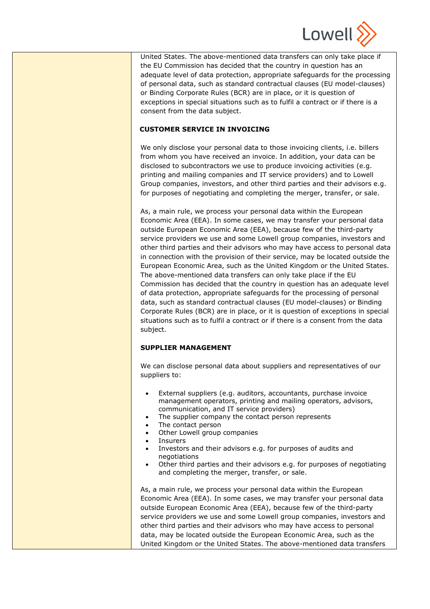

United States. The above-mentioned data transfers can only take place if the EU Commission has decided that the country in question has an adequate level of data protection, appropriate safeguards for the processing of personal data, such as standard contractual clauses (EU model-clauses) or Binding Corporate Rules (BCR) are in place, or it is question of exceptions in special situations such as to fulfil a contract or if there is a consent from the data subject.

#### **CUSTOMER SERVICE IN INVOICING**

We only disclose your personal data to those invoicing clients, i.e. billers from whom you have received an invoice. In addition, your data can be disclosed to subcontractors we use to produce invoicing activities (e.g. printing and mailing companies and IT service providers) and to Lowell Group companies, investors, and other third parties and their advisors e.g. for purposes of negotiating and completing the merger, transfer, or sale.

As, a main rule, we process your personal data within the European Economic Area (EEA). In some cases, we may transfer your personal data outside European Economic Area (EEA), because few of the third-party service providers we use and some Lowell group companies, investors and other third parties and their advisors who may have access to personal data in connection with the provision of their service, may be located outside the European Economic Area, such as the United Kingdom or the United States. The above-mentioned data transfers can only take place if the EU Commission has decided that the country in question has an adequate level of data protection, appropriate safeguards for the processing of personal data, such as standard contractual clauses (EU model-clauses) or Binding Corporate Rules (BCR) are in place, or it is question of exceptions in special situations such as to fulfil a contract or if there is a consent from the data subject.

#### **SUPPLIER MANAGEMENT**

We can disclose personal data about suppliers and representatives of our suppliers to:

- External suppliers (e.g. auditors, accountants, purchase invoice management operators, printing and mailing operators, advisors, communication, and IT service providers)
- The supplier company the contact person represents
- The contact person
- Other Lowell group companies
- **Insurers**
- Investors and their advisors e.g. for purposes of audits and negotiations
- Other third parties and their advisors e.g. for purposes of negotiating and completing the merger, transfer, or sale.

As, a main rule, we process your personal data within the European Economic Area (EEA). In some cases, we may transfer your personal data outside European Economic Area (EEA), because few of the third-party service providers we use and some Lowell group companies, investors and other third parties and their advisors who may have access to personal data, may be located outside the European Economic Area, such as the United Kingdom or the United States. The above-mentioned data transfers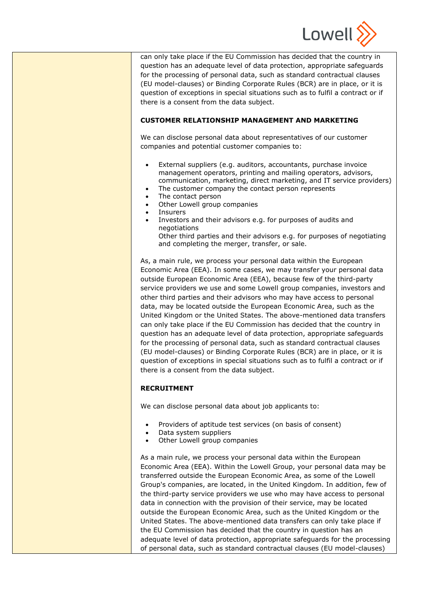

can only take place if the EU Commission has decided that the country in question has an adequate level of data protection, appropriate safeguards for the processing of personal data, such as standard contractual clauses (EU model-clauses) or Binding Corporate Rules (BCR) are in place, or it is question of exceptions in special situations such as to fulfil a contract or if there is a consent from the data subject.

## **CUSTOMER RELATIONSHIP MANAGEMENT AND MARKETING**

We can disclose personal data about representatives of our customer companies and potential customer companies to:

- External suppliers (e.g. auditors, accountants, purchase invoice management operators, printing and mailing operators, advisors, communication, marketing, direct marketing, and IT service providers)
- The customer company the contact person represents
- The contact person
- Other Lowell group companies
- Insurers
- Investors and their advisors e.g. for purposes of audits and negotiations Other third parties and their advisors e.g. for purposes of negotiating and completing the merger, transfer, or sale.

As, a main rule, we process your personal data within the European Economic Area (EEA). In some cases, we may transfer your personal data outside European Economic Area (EEA), because few of the third-party service providers we use and some Lowell group companies, investors and other third parties and their advisors who may have access to personal data, may be located outside the European Economic Area, such as the United Kingdom or the United States. The above-mentioned data transfers can only take place if the EU Commission has decided that the country in question has an adequate level of data protection, appropriate safeguards for the processing of personal data, such as standard contractual clauses (EU model-clauses) or Binding Corporate Rules (BCR) are in place, or it is question of exceptions in special situations such as to fulfil a contract or if there is a consent from the data subject.

# **RECRUITMENT**

We can disclose personal data about job applicants to:

- Providers of aptitude test services (on basis of consent)
- Data system suppliers
- Other Lowell group companies

As a main rule, we process your personal data within the European Economic Area (EEA). Within the Lowell Group, your personal data may be transferred outside the European Economic Area, as some of the Lowell Group's companies, are located, in the United Kingdom. In addition, few of the third-party service providers we use who may have access to personal data in connection with the provision of their service, may be located outside the European Economic Area, such as the United Kingdom or the United States. The above-mentioned data transfers can only take place if the EU Commission has decided that the country in question has an adequate level of data protection, appropriate safeguards for the processing of personal data, such as standard contractual clauses (EU model-clauses)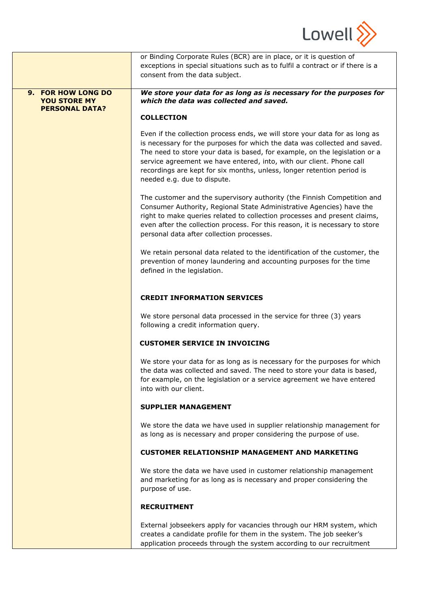

|                                                                    | or Binding Corporate Rules (BCR) are in place, or it is question of<br>exceptions in special situations such as to fulfil a contract or if there is a<br>consent from the data subject.                                                                                                                                                                                                                                 |
|--------------------------------------------------------------------|-------------------------------------------------------------------------------------------------------------------------------------------------------------------------------------------------------------------------------------------------------------------------------------------------------------------------------------------------------------------------------------------------------------------------|
| 9. FOR HOW LONG DO<br><b>YOU STORE MY</b><br><b>PERSONAL DATA?</b> | We store your data for as long as is necessary for the purposes for<br>which the data was collected and saved.                                                                                                                                                                                                                                                                                                          |
|                                                                    | <b>COLLECTION</b>                                                                                                                                                                                                                                                                                                                                                                                                       |
|                                                                    | Even if the collection process ends, we will store your data for as long as<br>is necessary for the purposes for which the data was collected and saved.<br>The need to store your data is based, for example, on the legislation or a<br>service agreement we have entered, into, with our client. Phone call<br>recordings are kept for six months, unless, longer retention period is<br>needed e.g. due to dispute. |
|                                                                    | The customer and the supervisory authority (the Finnish Competition and<br>Consumer Authority, Regional State Administrative Agencies) have the<br>right to make queries related to collection processes and present claims,<br>even after the collection process. For this reason, it is necessary to store<br>personal data after collection processes.                                                               |
|                                                                    | We retain personal data related to the identification of the customer, the<br>prevention of money laundering and accounting purposes for the time<br>defined in the legislation.                                                                                                                                                                                                                                        |
|                                                                    | <b>CREDIT INFORMATION SERVICES</b>                                                                                                                                                                                                                                                                                                                                                                                      |
|                                                                    | We store personal data processed in the service for three (3) years<br>following a credit information query.                                                                                                                                                                                                                                                                                                            |
|                                                                    | <b>CUSTOMER SERVICE IN INVOICING</b>                                                                                                                                                                                                                                                                                                                                                                                    |
|                                                                    | We store your data for as long as is necessary for the purposes for which<br>the data was collected and saved. The need to store your data is based,<br>for example, on the legislation or a service agreement we have entered<br>into with our client.                                                                                                                                                                 |
|                                                                    | <b>SUPPLIER MANAGEMENT</b>                                                                                                                                                                                                                                                                                                                                                                                              |
|                                                                    | We store the data we have used in supplier relationship management for<br>as long as is necessary and proper considering the purpose of use.                                                                                                                                                                                                                                                                            |
|                                                                    | <b>CUSTOMER RELATIONSHIP MANAGEMENT AND MARKETING</b>                                                                                                                                                                                                                                                                                                                                                                   |
|                                                                    | We store the data we have used in customer relationship management<br>and marketing for as long as is necessary and proper considering the<br>purpose of use.                                                                                                                                                                                                                                                           |
|                                                                    | <b>RECRUITMENT</b>                                                                                                                                                                                                                                                                                                                                                                                                      |
|                                                                    | External jobseekers apply for vacancies through our HRM system, which<br>creates a candidate profile for them in the system. The job seeker's<br>application proceeds through the system according to our recruitment                                                                                                                                                                                                   |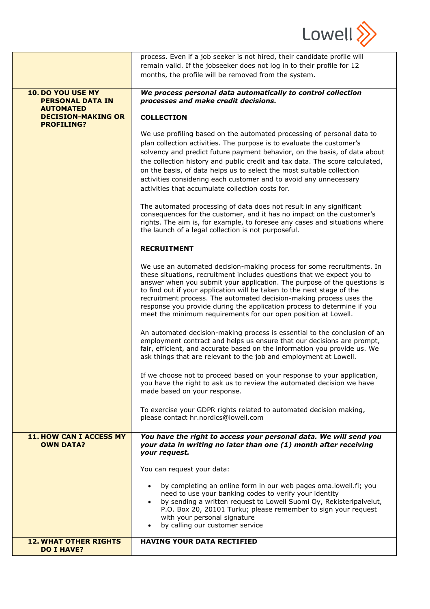

|                                                                                               | process. Even if a job seeker is not hired, their candidate profile will<br>remain valid. If the jobseeker does not log in to their profile for 12<br>months, the profile will be removed from the system.                                                                                                                                                                                                                                                                                                                |
|-----------------------------------------------------------------------------------------------|---------------------------------------------------------------------------------------------------------------------------------------------------------------------------------------------------------------------------------------------------------------------------------------------------------------------------------------------------------------------------------------------------------------------------------------------------------------------------------------------------------------------------|
| 10. DO YOU USE MY<br><b>PERSONAL DATA IN</b><br><b>AUTOMATED</b><br><b>DECISION-MAKING OR</b> | We process personal data automatically to control collection<br>processes and make credit decisions.<br><b>COLLECTION</b>                                                                                                                                                                                                                                                                                                                                                                                                 |
| <b>PROFILING?</b>                                                                             | We use profiling based on the automated processing of personal data to<br>plan collection activities. The purpose is to evaluate the customer's<br>solvency and predict future payment behavior, on the basis, of data about<br>the collection history and public credit and tax data. The score calculated,<br>on the basis, of data helps us to select the most suitable collection<br>activities considering each customer and to avoid any unnecessary<br>activities that accumulate collection costs for.            |
|                                                                                               | The automated processing of data does not result in any significant<br>consequences for the customer, and it has no impact on the customer's<br>rights. The aim is, for example, to foresee any cases and situations where<br>the launch of a legal collection is not purposeful.                                                                                                                                                                                                                                         |
|                                                                                               | <b>RECRUITMENT</b>                                                                                                                                                                                                                                                                                                                                                                                                                                                                                                        |
|                                                                                               | We use an automated decision-making process for some recruitments. In<br>these situations, recruitment includes questions that we expect you to<br>answer when you submit your application. The purpose of the questions is<br>to find out if your application will be taken to the next stage of the<br>recruitment process. The automated decision-making process uses the<br>response you provide during the application process to determine if you<br>meet the minimum requirements for our open position at Lowell. |
|                                                                                               | An automated decision-making process is essential to the conclusion of an<br>employment contract and helps us ensure that our decisions are prompt,<br>fair, efficient, and accurate based on the information you provide us. We<br>ask things that are relevant to the job and employment at Lowell.                                                                                                                                                                                                                     |
|                                                                                               | If we choose not to proceed based on your response to your application,<br>you have the right to ask us to review the automated decision we have<br>made based on your response.                                                                                                                                                                                                                                                                                                                                          |
|                                                                                               | To exercise your GDPR rights related to automated decision making,<br>please contact hr.nordics@lowell.com                                                                                                                                                                                                                                                                                                                                                                                                                |
| <b>11. HOW CAN I ACCESS MY</b><br><b>OWN DATA?</b>                                            | You have the right to access your personal data. We will send you<br>your data in writing no later than one (1) month after receiving<br>your request.                                                                                                                                                                                                                                                                                                                                                                    |
|                                                                                               | You can request your data:                                                                                                                                                                                                                                                                                                                                                                                                                                                                                                |
|                                                                                               | by completing an online form in our web pages oma.lowell.fi; you<br>$\bullet$<br>need to use your banking codes to verify your identity<br>by sending a written request to Lowell Suomi Oy, Rekisteripalvelut,<br>$\bullet$<br>P.O. Box 20, 20101 Turku; please remember to sign your request<br>with your personal signature<br>by calling our customer service<br>$\bullet$                                                                                                                                             |
| <b>12. WHAT OTHER RIGHTS</b><br><b>DO I HAVE?</b>                                             | <b>HAVING YOUR DATA RECTIFIED</b>                                                                                                                                                                                                                                                                                                                                                                                                                                                                                         |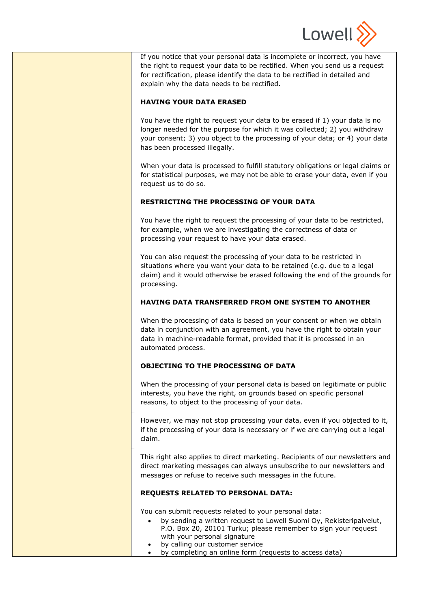

If you notice that your personal data is incomplete or incorrect, you have the right to request your data to be rectified. When you send us a request for rectification, please identify the data to be rectified in detailed and explain why the data needs to be rectified.

## **HAVING YOUR DATA ERASED**

You have the right to request your data to be erased if 1) your data is no longer needed for the purpose for which it was collected; 2) you withdraw your consent; 3) you object to the processing of your data; or 4) your data has been processed illegally.

When your data is processed to fulfill statutory obligations or legal claims or for statistical purposes, we may not be able to erase your data, even if you request us to do so.

## **RESTRICTING THE PROCESSING OF YOUR DATA**

You have the right to request the processing of your data to be restricted, for example, when we are investigating the correctness of data or processing your request to have your data erased.

You can also request the processing of your data to be restricted in situations where you want your data to be retained (e.g. due to a legal claim) and it would otherwise be erased following the end of the grounds for processing.

## **HAVING DATA TRANSFERRED FROM ONE SYSTEM TO ANOTHER**

When the processing of data is based on your consent or when we obtain data in conjunction with an agreement, you have the right to obtain your data in machine-readable format, provided that it is processed in an automated process.

# **OBJECTING TO THE PROCESSING OF DATA**

⎯

⎯

When the processing of your personal data is based on legitimate or public interests, you have the right, on grounds based on specific personal reasons, to object to the processing of your data.

However, we may not stop processing your data, even if you objected to it, if the processing of your data is necessary or if we are carrying out a legal claim.

This right also applies to direct marketing. Recipients of our newsletters and direct marketing messages can always unsubscribe to our newsletters and messages or refuse to receive such messages in the future.

## **REQUESTS RELATED TO PERSONAL DATA:**

You can submit requests related to your personal data:

- by sending a written request to Lowell Suomi Oy, Rekisteripalvelut, P.O. Box 20, 20101 Turku; please remember to sign your request with your personal signature
- by calling our customer service
- by completing an online form (requests to access data)